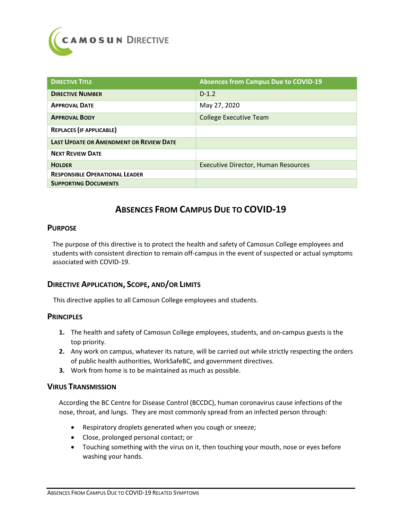

| <b>DIRECTIVE TITLE</b>                         | <b>Absences from Campus Due to COVID-19</b> |
|------------------------------------------------|---------------------------------------------|
| <b>DIRECTIVE NUMBER</b>                        | $D-1.2$                                     |
| <b>APPROVAL DATE</b>                           | May 27, 2020                                |
| <b>APPROVAL BODY</b>                           | <b>College Executive Team</b>               |
| <b>REPLACES (IF APPLICABLE)</b>                |                                             |
| <b>LAST UPDATE OR AMENDMENT OR REVIEW DATE</b> |                                             |
| <b>NEXT REVIEW DATE</b>                        |                                             |
| <b>HOLDER</b>                                  | <b>Executive Director, Human Resources</b>  |
| <b>RESPONSIBLE OPERATIONAL LEADER</b>          |                                             |
| <b>SUPPORTING DOCUMENTS</b>                    |                                             |

# **ABSENCES FROM CAMPUS DUE TO COVID-19**

### **PURPOSE**

The purpose of this directive is to protect the health and safety of Camosun College employees and students with consistent direction to remain off-campus in the event of suspected or actual symptoms associated with COVID-19.

### **DIRECTIVE APPLICATION, SCOPE, AND/OR LIMITS**

This directive applies to all Camosun College employees and students.

### **PRINCIPLES**

- **1.** The health and safety of Camosun College employees, students, and on-campus guests is the top priority.
- **2.** Any work on campus, whatever its nature, will be carried out while strictly respecting the orders of public health authorities, WorkSafeBC, and government directives.
- **3.** Work from home is to be maintained as much as possible.

### **VIRUS TRANSMISSION**

According the BC Centre for Disease Control (BCCDC), human coronavirus cause infections of the nose, throat, and lungs. They are most commonly spread from an infected person through:

- Respiratory droplets generated when you cough or sneeze;
- Close, prolonged personal contact; or
- Touching something with the virus on it, then touching your mouth, nose or eyes before washing your hands.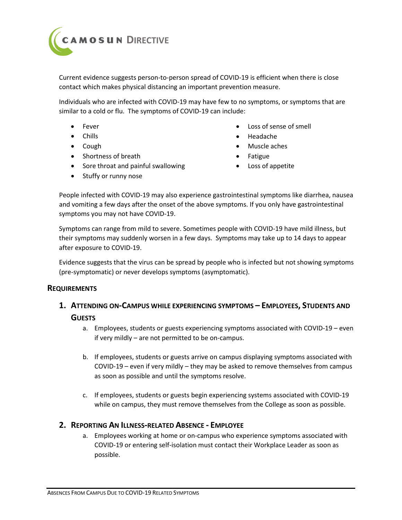

Current evidence suggests person-to-person spread of COVID-19 is efficient when there is close contact which makes physical distancing an important prevention measure.

Individuals who are infected with COVID-19 may have few to no symptoms, or symptoms that are similar to a cold or flu. The symptoms of COVID-19 can include:

- Fever
- Chills
- Cough
- Shortness of breath
- Sore throat and painful swallowing
- Stuffy or runny nose
- Loss of sense of smell
- Headache
- Muscle aches
- Fatigue
- Loss of appetite

People infected with COVID-19 may also experience gastrointestinal symptoms like diarrhea, nausea and vomiting a few days after the onset of the above symptoms. If you only have gastrointestinal symptoms you may not have COVID-19.

Symptoms can range from mild to severe. Sometimes people with COVID-19 have mild illness, but their symptoms may suddenly worsen in a few days. Symptoms may take up to 14 days to appear after exposure to COVID-19.

Evidence suggests that the virus can be spread by people who is infected but not showing symptoms (pre-symptomatic) or never develops symptoms (asymptomatic).

### **REQUIREMENTS**

## **1. ATTENDING ON-CAMPUS WHILE EXPERIENCING SYMPTOMS – EMPLOYEES, STUDENTS AND GUESTS**

- a. Employees, students or guests experiencing symptoms associated with COVID-19 even if very mildly – are not permitted to be on-campus.
- b. If employees, students or guests arrive on campus displaying symptoms associated with COVID-19 – even if very mildly – they may be asked to remove themselves from campus as soon as possible and until the symptoms resolve.
- c. If employees, students or guests begin experiencing systems associated with COVID-19 while on campus, they must remove themselves from the College as soon as possible.

## **2. REPORTING AN ILLNESS-RELATED ABSENCE - EMPLOYEE**

a. Employees working at home or on-campus who experience symptoms associated with COVID-19 or entering self-isolation must contact their Workplace Leader as soon as possible.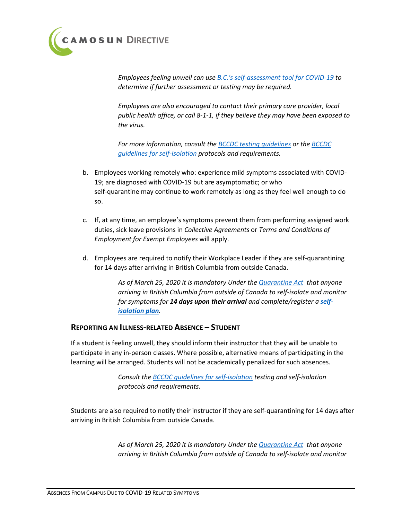

*Employees feeling unwell can use [B.C.'s self-assessment tool for COVID-19](http://covid19.thrive.health/) to determine if further assessment or testing may be required.* 

*Employees are also encouraged to contact their primary care provider, local public health office, or call 8-1-1, if they believe they may have been exposed to the virus.*

*For more information, consult th[e BCCDC testing guidelines](http://www.bccdc.ca/health-info/diseases-conditions/covid-19/testing) or th[e BCCDC](http://www.bccdc.ca/health-info/diseases-conditions/covid-19/self-isolation)  [guidelines for self-isolation](http://www.bccdc.ca/health-info/diseases-conditions/covid-19/self-isolation) protocols and requirements.*

- b. Employees working remotely who: experience mild symptoms associated with COVID-19; are diagnosed with COVID-19 but are asymptomatic; or who self-quarantine may continue to work remotely as long as they feel well enough to do so.
- c. If, at any time, an employee's symptoms prevent them from performing assigned work duties, sick leave provisions in *Collective Agreements* or *Terms and Conditions of Employment for Exempt Employees* will apply.
- d. Employees are required to notify their Workplace Leader if they are self-quarantining for 14 days after arriving in British Columbia from outside Canada.

*As of March 25, 2020 it is mandatory Under the [Quarantine Act](https://www.canada.ca/en/public-health/news/2020/03/new-order-makes-self-isolation-mandatory-for-individuals-entering-canada.html) that anyone arriving in British Columbia from outside of Canada to self-isolate and monitor for symptoms for 14 days upon their arrival and complete/register a [self](https://www2.gov.bc.ca/gov/content/safety/emergency-preparedness-response-recovery/covid-19-provincial-support/self-isolation-on-return)[isolation plan](https://www2.gov.bc.ca/gov/content/safety/emergency-preparedness-response-recovery/covid-19-provincial-support/self-isolation-on-return).* 

#### **REPORTING AN ILLNESS-RELATED ABSENCE – STUDENT**

If a student is feeling unwell, they should inform their instructor that they will be unable to participate in any in-person classes. Where possible, alternative means of participating in the learning will be arranged. Students will not be academically penalized for such absences.

> *Consult the [BCCDC guidelines for self-isolation](http://www.bccdc.ca/health-info/diseases-conditions/covid-19/self-isolation) testing and self-isolation protocols and requirements.*

Students are also required to notify their instructor if they are self-quarantining for 14 days after arriving in British Columbia from outside Canada.

> *As of March 25, 2020 it is mandatory Under the [Quarantine Act](https://www.canada.ca/en/public-health/news/2020/03/new-order-makes-self-isolation-mandatory-for-individuals-entering-canada.html) that anyone arriving in British Columbia from outside of Canada to self-isolate and monitor*